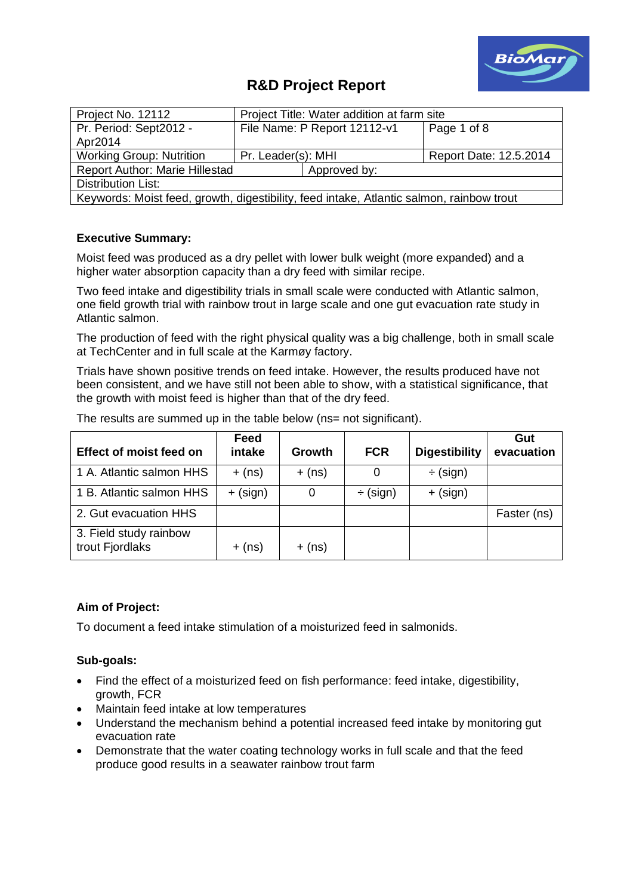

# **R&D Project Report**

| Project No. 12112                                                                        | Project Title: Water addition at farm site |                              |                        |  |  |  |  |
|------------------------------------------------------------------------------------------|--------------------------------------------|------------------------------|------------------------|--|--|--|--|
| Pr. Period: Sept2012 -                                                                   |                                            | File Name: P Report 12112-v1 | Page 1 of 8            |  |  |  |  |
| Apr2014                                                                                  |                                            |                              |                        |  |  |  |  |
| <b>Working Group: Nutrition</b>                                                          | Pr. Leader(s): MHI                         |                              | Report Date: 12.5.2014 |  |  |  |  |
| <b>Report Author: Marie Hillestad</b>                                                    |                                            | Approved by:                 |                        |  |  |  |  |
| Distribution List:                                                                       |                                            |                              |                        |  |  |  |  |
| Keywords: Moist feed, growth, digestibility, feed intake, Atlantic salmon, rainbow trout |                                            |                              |                        |  |  |  |  |

# **Executive Summary:**

Moist feed was produced as a dry pellet with lower bulk weight (more expanded) and a higher water absorption capacity than a dry feed with similar recipe.

Two feed intake and digestibility trials in small scale were conducted with Atlantic salmon, one field growth trial with rainbow trout in large scale and one gut evacuation rate study in Atlantic salmon.

The production of feed with the right physical quality was a big challenge, both in small scale at TechCenter and in full scale at the Karmøy factory.

Trials have shown positive trends on feed intake. However, the results produced have not been consistent, and we have still not been able to show, with a statistical significance, that the growth with moist feed is higher than that of the dry feed.

| <b>Effect of moist feed on</b>            | Feed<br>intake | Growth   | <b>FCR</b>    | <b>Digestibility</b> | Gut<br>evacuation |
|-------------------------------------------|----------------|----------|---------------|----------------------|-------------------|
| 1 A. Atlantic salmon HHS                  | $+$ (ns)       | $+$ (ns) | 0             | $\div$ (sign)        |                   |
| 1 B. Atlantic salmon HHS                  | $+$ (sign)     | 0        | $\div$ (sign) | $+$ (sign)           |                   |
| 2. Gut evacuation HHS                     |                |          |               |                      | Faster (ns)       |
| 3. Field study rainbow<br>trout Fjordlaks | $+$ (ns)       | $+$ (ns) |               |                      |                   |

The results are summed up in the table below (ns= not significant).

# **Aim of Project:**

To document a feed intake stimulation of a moisturized feed in salmonids.

# **Sub-goals:**

- Find the effect of a moisturized feed on fish performance: feed intake, digestibility, growth, FCR
- Maintain feed intake at low temperatures
- Understand the mechanism behind a potential increased feed intake by monitoring gut evacuation rate
- Demonstrate that the water coating technology works in full scale and that the feed produce good results in a seawater rainbow trout farm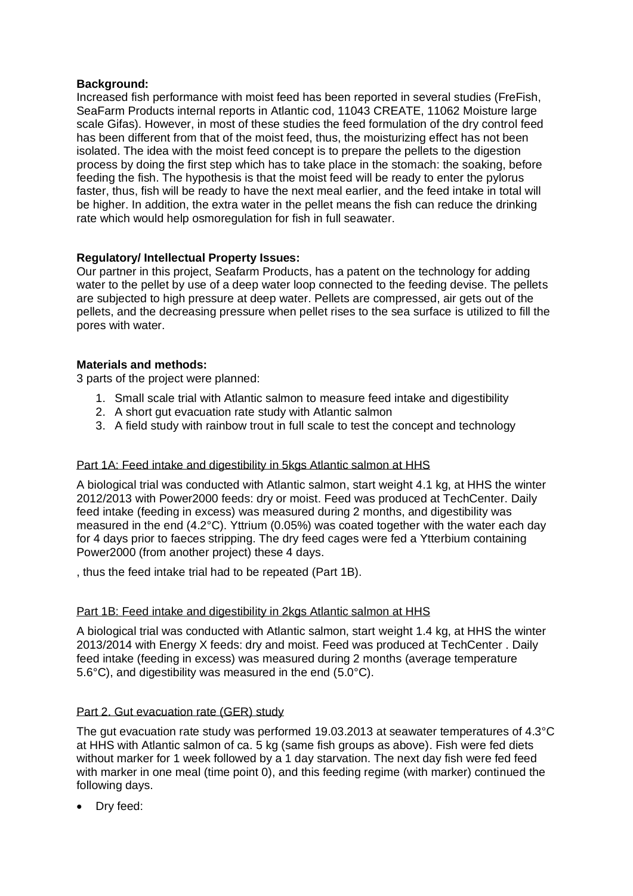# **Background:**

Increased fish performance with moist feed has been reported in several studies (FreFish, SeaFarm Products internal reports in Atlantic cod, 11043 CREATE, 11062 Moisture large scale Gifas). However, in most of these studies the feed formulation of the dry control feed has been different from that of the moist feed, thus, the moisturizing effect has not been isolated. The idea with the moist feed concept is to prepare the pellets to the digestion process by doing the first step which has to take place in the stomach: the soaking, before feeding the fish. The hypothesis is that the moist feed will be ready to enter the pylorus faster, thus, fish will be ready to have the next meal earlier, and the feed intake in total will be higher. In addition, the extra water in the pellet means the fish can reduce the drinking rate which would help osmoregulation for fish in full seawater.

# **Regulatory/ Intellectual Property Issues:**

Our partner in this project, Seafarm Products, has a patent on the technology for adding water to the pellet by use of a deep water loop connected to the feeding devise. The pellets are subjected to high pressure at deep water. Pellets are compressed, air gets out of the pellets, and the decreasing pressure when pellet rises to the sea surface is utilized to fill the pores with water.

#### **Materials and methods:**

3 parts of the project were planned:

- 1. Small scale trial with Atlantic salmon to measure feed intake and digestibility
- 2. A short gut evacuation rate study with Atlantic salmon
- 3. A field study with rainbow trout in full scale to test the concept and technology

# Part 1A: Feed intake and digestibility in 5kgs Atlantic salmon at HHS

A biological trial was conducted with Atlantic salmon, start weight 4.1 kg, at HHS the winter 2012/2013 with Power2000 feeds: dry or moist. Feed was produced at TechCenter. Daily feed intake (feeding in excess) was measured during 2 months, and digestibility was measured in the end (4.2°C). Yttrium (0.05%) was coated together with the water each day for 4 days prior to faeces stripping. The dry feed cages were fed a Ytterbium containing Power2000 (from another project) these 4 days.

, thus the feed intake trial had to be repeated (Part 1B).

#### Part 1B: Feed intake and digestibility in 2kgs Atlantic salmon at HHS

A biological trial was conducted with Atlantic salmon, start weight 1.4 kg, at HHS the winter 2013/2014 with Energy X feeds: dry and moist. Feed was produced at TechCenter . Daily feed intake (feeding in excess) was measured during 2 months (average temperature 5.6°C), and digestibility was measured in the end (5.0°C).

# Part 2. Gut evacuation rate (GER) study

The gut evacuation rate study was performed 19.03.2013 at seawater temperatures of 4.3°C at HHS with Atlantic salmon of ca. 5 kg (same fish groups as above). Fish were fed diets without marker for 1 week followed by a 1 day starvation. The next day fish were fed feed with marker in one meal (time point 0), and this feeding regime (with marker) continued the following days.

• Dry feed: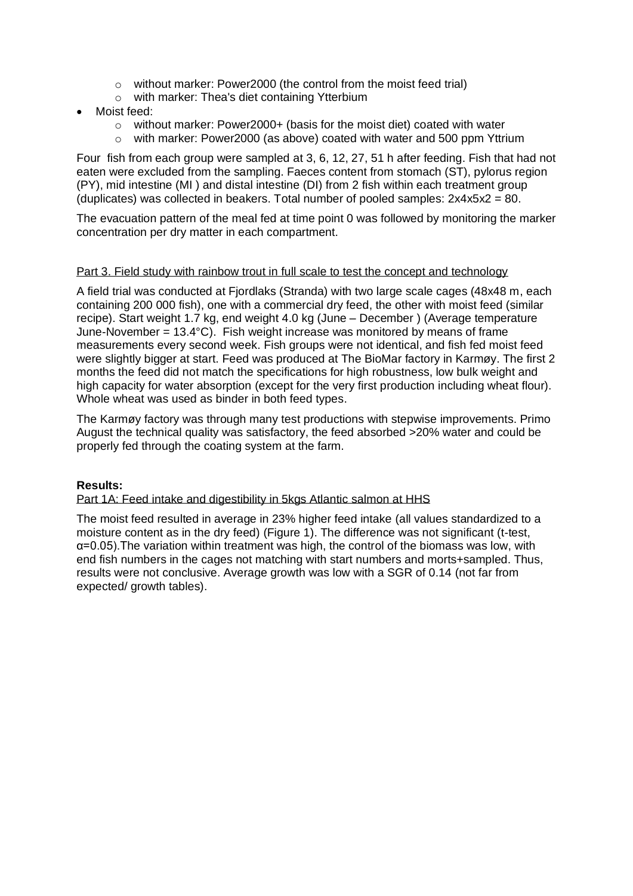- o without marker: Power2000 (the control from the moist feed trial)
- o with marker: Thea's diet containing Ytterbium
- Moist feed:
	- $\circ$  without marker: Power2000+ (basis for the moist diet) coated with water
	- $\circ$  with marker: Power2000 (as above) coated with water and 500 ppm Yttrium

Four fish from each group were sampled at 3, 6, 12, 27, 51 h after feeding. Fish that had not eaten were excluded from the sampling. Faeces content from stomach (ST), pylorus region (PY), mid intestine (MI ) and distal intestine (DI) from 2 fish within each treatment group (duplicates) was collected in beakers. Total number of pooled samples:  $2x4x5x2 = 80$ .

The evacuation pattern of the meal fed at time point 0 was followed by monitoring the marker concentration per dry matter in each compartment.

#### Part 3. Field study with rainbow trout in full scale to test the concept and technology

A field trial was conducted at Fjordlaks (Stranda) with two large scale cages (48x48 m, each containing 200 000 fish), one with a commercial dry feed, the other with moist feed (similar recipe). Start weight 1.7 kg, end weight 4.0 kg (June – December ) (Average temperature June-November =  $13.4^{\circ}$ C). Fish weight increase was monitored by means of frame measurements every second week. Fish groups were not identical, and fish fed moist feed were slightly bigger at start. Feed was produced at The BioMar factory in Karmøy. The first 2 months the feed did not match the specifications for high robustness, low bulk weight and high capacity for water absorption (except for the very first production including wheat flour). Whole wheat was used as binder in both feed types.

The Karmøy factory was through many test productions with stepwise improvements. Primo August the technical quality was satisfactory, the feed absorbed >20% water and could be properly fed through the coating system at the farm.

# **Results:**

# Part 1A: Feed intake and digestibility in 5kgs Atlantic salmon at HHS

The moist feed resulted in average in 23% higher feed intake (all values standardized to a moisture content as in the dry feed) (Figure 1). The difference was not significant (t-test,  $\alpha$ =0.05). The variation within treatment was high, the control of the biomass was low, with end fish numbers in the cages not matching with start numbers and morts+sampled. Thus, results were not conclusive. Average growth was low with a SGR of 0.14 (not far from expected/ growth tables).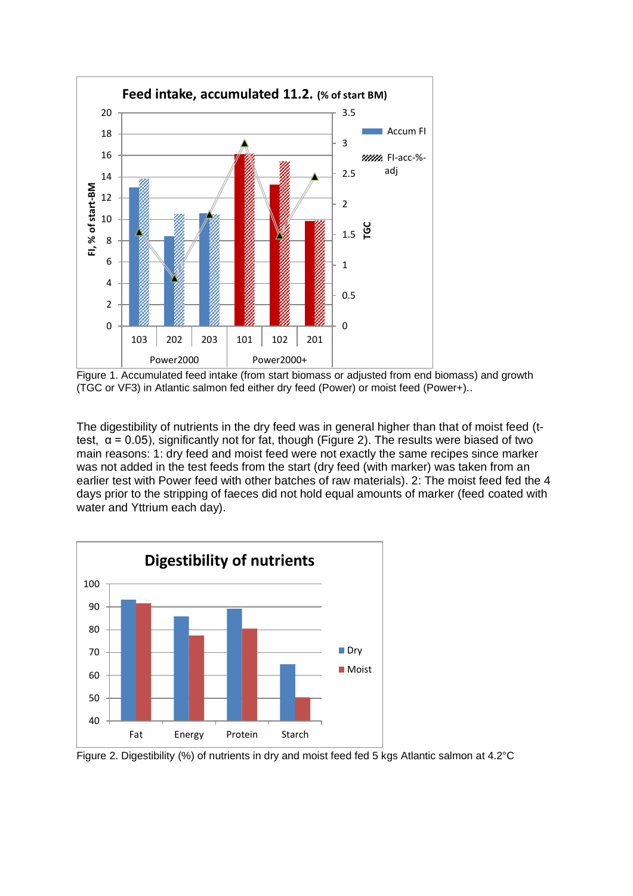

Figure 1. Accumulated feed intake (from start biomass or adjusted from end biomass) and growth (TGC or VF3) in Atlantic salmon fed either dry feed (Power) or moist feed (Power+)..

The digestibility of nutrients in the dry feed was in general higher than that of moist feed (ttest,  $\alpha$  = 0.05), significantly not for fat, though (Figure 2). The results were biased of two main reasons: 1: dry feed and moist feed were not exactly the same recipes since marker was not added in the test feeds from the start (dry feed (with marker) was taken from an earlier test with Power feed with other batches of raw materials). 2: The moist feed fed the 4 days prior to the stripping of faeces did not hold equal amounts of marker (feed coated with water and Yttrium each day).



Figure 2. Digestibility (%) of nutrients in dry and moist feed fed 5 kgs Atlantic salmon at 4.2°C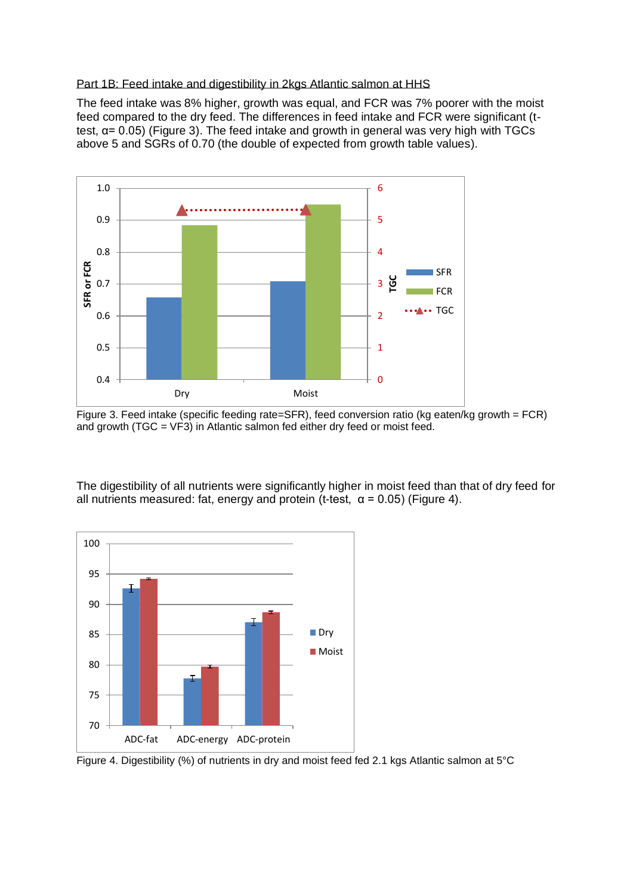#### Part 1B: Feed intake and digestibility in 2kgs Atlantic salmon at HHS

The feed intake was 8% higher, growth was equal, and FCR was 7% poorer with the moist feed compared to the dry feed. The differences in feed intake and FCR were significant (ttest,  $α = 0.05$ ) (Figure 3). The feed intake and growth in general was very high with TGCs above 5 and SGRs of 0.70 (the double of expected from growth table values).



Figure 3. Feed intake (specific feeding rate=SFR), feed conversion ratio (kg eaten/kg growth = FCR) and growth (TGC = VF3) in Atlantic salmon fed either dry feed or moist feed.

The digestibility of all nutrients were significantly higher in moist feed than that of dry feed for all nutrients measured: fat, energy and protein (t-test,  $\alpha$  = 0.05) (Figure 4).



Figure 4. Digestibility (%) of nutrients in dry and moist feed fed 2.1 kgs Atlantic salmon at 5°C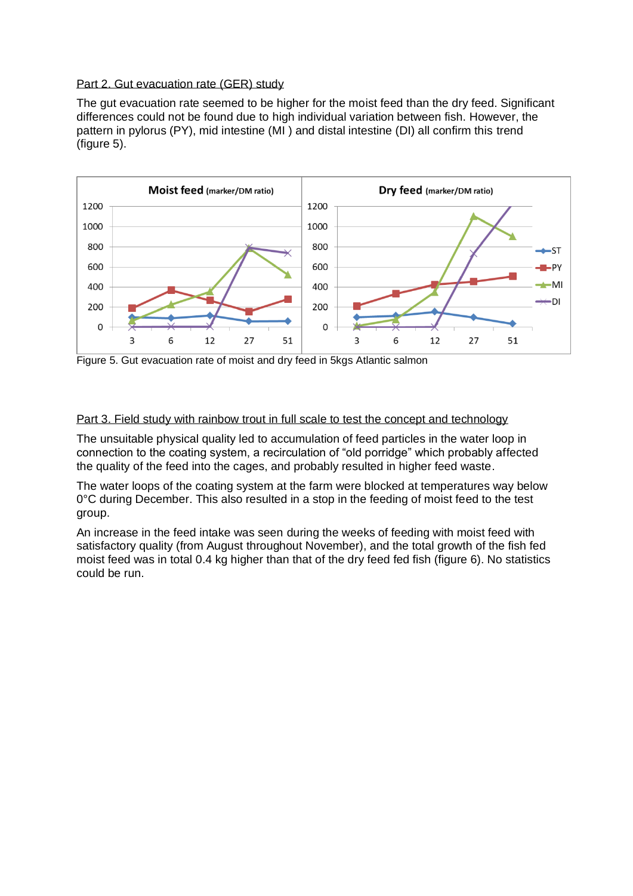#### Part 2. Gut evacuation rate (GER) study

The gut evacuation rate seemed to be higher for the moist feed than the dry feed. Significant differences could not be found due to high individual variation between fish. However, the pattern in pylorus (PY), mid intestine (MI) and distal intestine (DI) all confirm this trend (figure 5).



Figure 5. Gut evacuation rate of moist and dry feed in 5 kgs Atlantic salmon

#### Part 3. Field study with rainbow trout in full scale to test the concept and technology

The unsuitable physical quality led to accumulation of feed particles in the water loop in connection to the coating system, a recirculation of "old porridge" which probably affected the quality of the feed into the cages, and probably resulted in higher feed waste.

The water loops of the coating system at the farm were blocked at temperatures way below 0°C during December. This also resulted in a stop in the feeding of moist feed to the test group.

An increase in the feed intake was seen during the weeks of feeding with moist feed with satisfactory quality (from August throughout November), and the total growth of the fish fed moist feed was in total 0.4 kg higher than that of the dry feed fed fish (figure 6). No statistics could be run.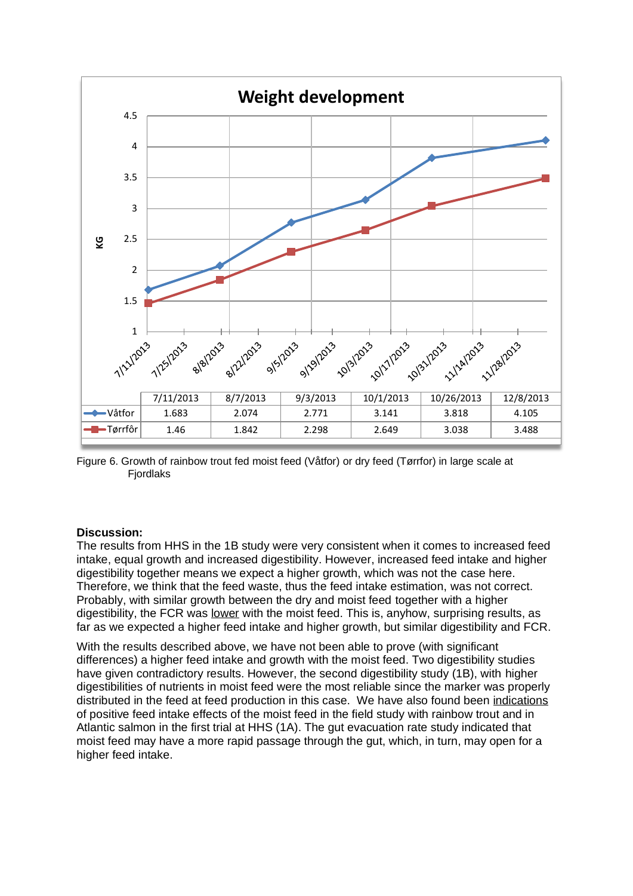

Figure 6. Growth of rainbow trout fed moist feed (Våtfor) or dry feed (Tørrfor) in large scale at Fjordlaks

# **Discussion:**

The results from HHS in the 1B study were very consistent when it comes to increased feed intake, equal growth and increased digestibility. However, increased feed intake and higher digestibility together means we expect a higher growth, which was not the case here. Therefore, we think that the feed waste, thus the feed intake estimation, was not correct. Probably, with similar growth between the dry and moist feed together with a higher digestibility, the FCR was lower with the moist feed. This is, anyhow, surprising results, as far as we expected a higher feed intake and higher growth, but similar digestibility and FCR.

With the results described above, we have not been able to prove (with significant differences) a higher feed intake and growth with the moist feed. Two digestibility studies have given contradictory results. However, the second digestibility study (1B), with higher digestibilities of nutrients in moist feed were the most reliable since the marker was properly distributed in the feed at feed production in this case. We have also found been indications of positive feed intake effects of the moist feed in the field study with rainbow trout and in Atlantic salmon in the first trial at HHS (1A). The gut evacuation rate study indicated that moist feed may have a more rapid passage through the gut, which, in turn, may open for a higher feed intake.